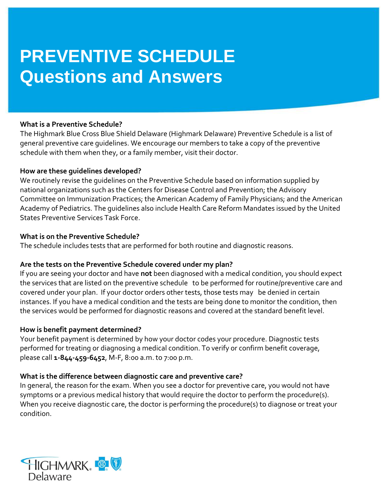# **PREVENTIVE SCHEDULE Questions and Answers**

# **What is a Preventive Schedule?**

The Highmark Blue Cross Blue Shield Delaware (Highmark Delaware) Preventive Schedule is a list of general preventive care guidelines. We encourage our members to take a copy of the preventive schedule with them when they, or a family member, visit their doctor.

#### **How are these guidelines developed?**

We routinely revise the guidelines on the Preventive Schedule based on information supplied by national organizations such as the Centers for Disease Control and Prevention; the Advisory Committee on Immunization Practices; the American Academy of Family Physicians; and the American Academy of Pediatrics. The guidelines also include Health Care Reform Mandates issued by the United States Preventive Services Task Force.

#### **What is on the Preventive Schedule?**

The schedule includes tests that are performed for both routine and diagnostic reasons.

# **Are the tests on the Preventive Schedule covered under my plan?**

If you are seeing your doctor and have **not** been diagnosed with a medical condition, you should expect the services that are listed on the preventive schedule to be performed for routine/preventive care and covered under your plan. If your doctor orders other tests, those tests may be denied in certain instances. If you have a medical condition and the tests are being done to monitor the condition, then the services would be performed for diagnostic reasons and covered at the standard benefit level.

# **How is benefit payment determined?**

Your benefit payment is determined by how your doctor codes your procedure. Diagnostic tests performed for treating or diagnosing a medical condition. To verify or confirm benefit coverage, please call **1-844-459-6452**, M-F, 8:00 a.m. to 7:00 p.m.

# **What is the difference between diagnostic care and preventive care?**

In general, the reason for the exam. When you see a doctor for preventive care, you would not have symptoms or a previous medical history that would require the doctor to perform the procedure(s). When you receive diagnostic care, the doctor is performing the procedure(s) to diagnose or treat your condition.